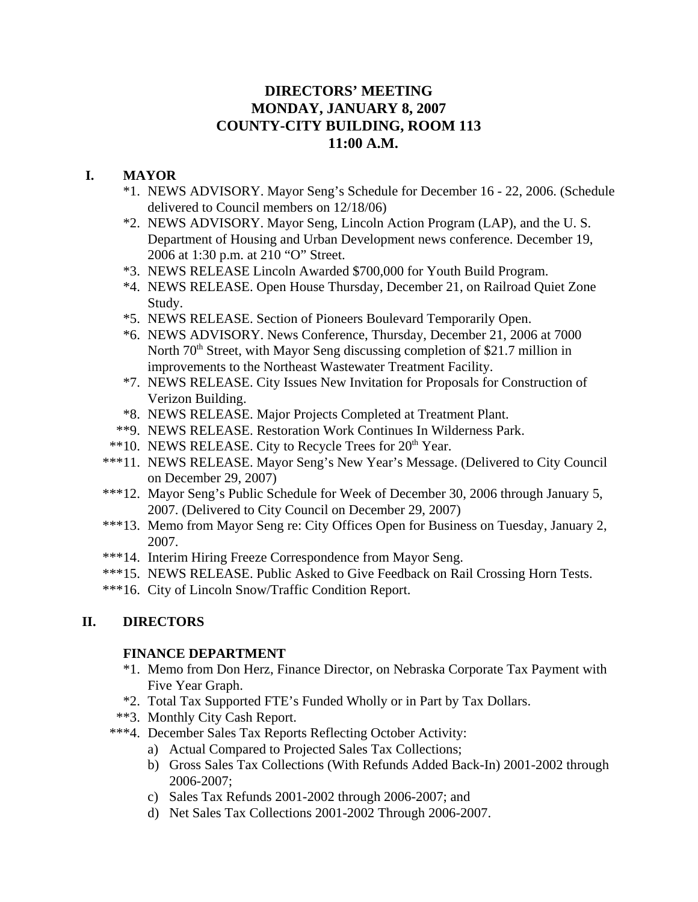# **DIRECTORS' MEETING MONDAY, JANUARY 8, 2007 COUNTY-CITY BUILDING, ROOM 113 11:00 A.M.**

# **I. MAYOR**

- \*1. NEWS ADVISORY. Mayor Seng's Schedule for December 16 22, 2006. (Schedule delivered to Council members on 12/18/06)
- \*2. NEWS ADVISORY. Mayor Seng, Lincoln Action Program (LAP), and the U. S. Department of Housing and Urban Development news conference. December 19, 2006 at 1:30 p.m. at 210 "O" Street.
- \*3. NEWS RELEASE Lincoln Awarded \$700,000 for Youth Build Program.
- \*4. NEWS RELEASE. Open House Thursday, December 21, on Railroad Quiet Zone Study.
- \*5. NEWS RELEASE. Section of Pioneers Boulevard Temporarily Open.
- \*6. NEWS ADVISORY. News Conference, Thursday, December 21, 2006 at 7000 North  $70<sup>th</sup>$  Street, with Mayor Seng discussing completion of \$21.7 million in improvements to the Northeast Wastewater Treatment Facility.
- \*7. NEWS RELEASE. City Issues New Invitation for Proposals for Construction of Verizon Building.
- \*8. NEWS RELEASE. Major Projects Completed at Treatment Plant.
- \*\*9. NEWS RELEASE. Restoration Work Continues In Wilderness Park.
- \*\*10. NEWS RELEASE. City to Recycle Trees for 20<sup>th</sup> Year.
- \*\*\*11. NEWS RELEASE. Mayor Seng's New Year's Message. (Delivered to City Council on December 29, 2007)
- \*\*\*12. Mayor Seng's Public Schedule for Week of December 30, 2006 through January 5, 2007. (Delivered to City Council on December 29, 2007)
- \*\*\*13. Memo from Mayor Seng re: City Offices Open for Business on Tuesday, January 2, 2007.
- \*\*\*14. Interim Hiring Freeze Correspondence from Mayor Seng.
- \*\*\*15. NEWS RELEASE. Public Asked to Give Feedback on Rail Crossing Horn Tests.
- \*\*\*16. City of Lincoln Snow/Traffic Condition Report.

# **II. DIRECTORS**

# **FINANCE DEPARTMENT**

- \*1. Memo from Don Herz, Finance Director, on Nebraska Corporate Tax Payment with Five Year Graph.
- \*2. Total Tax Supported FTE's Funded Wholly or in Part by Tax Dollars.
- \*\*3. Monthly City Cash Report.
- \*\*\*4. December Sales Tax Reports Reflecting October Activity:
	- a) Actual Compared to Projected Sales Tax Collections;
	- b) Gross Sales Tax Collections (With Refunds Added Back-In) 2001-2002 through 2006-2007;
	- c) Sales Tax Refunds 2001-2002 through 2006-2007; and
	- d) Net Sales Tax Collections 2001-2002 Through 2006-2007.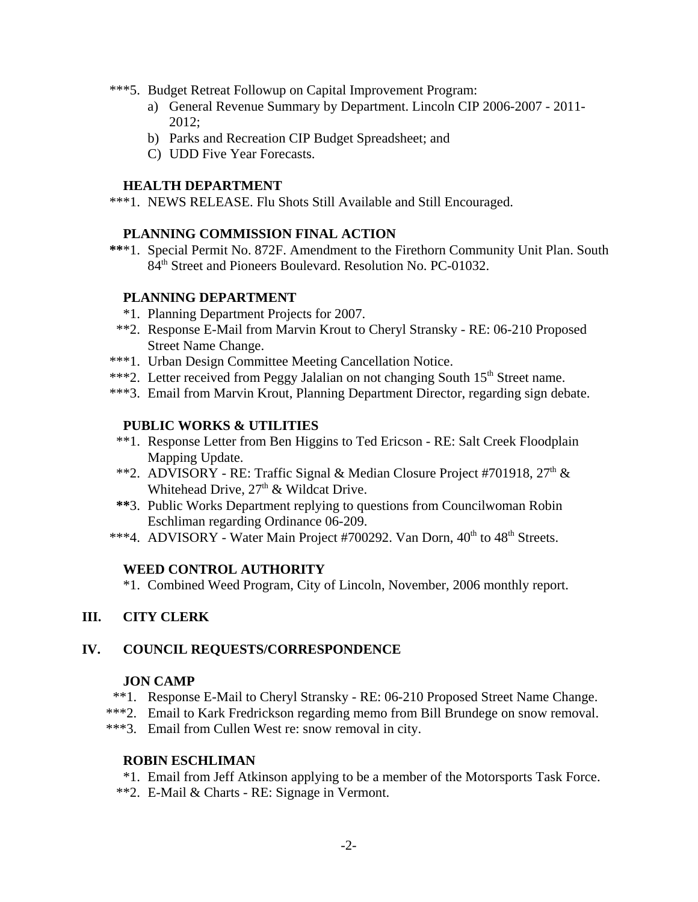- \*\*\*5. Budget Retreat Followup on Capital Improvement Program:
	- a) General Revenue Summary by Department. Lincoln CIP 2006-2007 2011- 2012;
	- b) Parks and Recreation CIP Budget Spreadsheet; and
	- C) UDD Five Year Forecasts.

#### **HEALTH DEPARTMENT**

\*\*\*1. NEWS RELEASE. Flu Shots Still Available and Still Encouraged.

### **PLANNING COMMISSION FINAL ACTION**

 **\*\***\*1. Special Permit No. 872F. Amendment to the Firethorn Community Unit Plan. South 84<sup>th</sup> Street and Pioneers Boulevard. Resolution No. PC-01032.

### **PLANNING DEPARTMENT**

- \*1. Planning Department Projects for 2007.
- \*\*2. Response E-Mail from Marvin Krout to Cheryl Stransky RE: 06-210 Proposed Street Name Change.
- \*\*\*1. Urban Design Committee Meeting Cancellation Notice.
- \*\*\*2. Letter received from Peggy Jalalian on not changing South 15<sup>th</sup> Street name.
- \*\*\*3. Email from Marvin Krout, Planning Department Director, regarding sign debate.

### **PUBLIC WORKS & UTILITIES**

- \*\*1. Response Letter from Ben Higgins to Ted Ericson RE: Salt Creek Floodplain Mapping Update.
- \*\*2. ADVISORY RE: Traffic Signal & Median Closure Project #701918,  $27<sup>th</sup>$  & Whitehead Drive,  $27<sup>th</sup>$  & Wildcat Drive.
- **\*\***3. Public Works Department replying to questions from Councilwoman Robin Eschliman regarding Ordinance 06-209.
- \*\*\*4. ADVISORY Water Main Project #700292. Van Dorn, 40<sup>th</sup> to 48<sup>th</sup> Streets.

### **WEED CONTROL AUTHORITY**

\*1. Combined Weed Program, City of Lincoln, November, 2006 monthly report.

### **III. CITY CLERK**

### **IV. COUNCIL REQUESTS/CORRESPONDENCE**

#### **JON CAMP**

- \*\*1. Response E-Mail to Cheryl Stransky RE: 06-210 Proposed Street Name Change.
- \*\*\*2. Email to Kark Fredrickson regarding memo from Bill Brundege on snow removal.
- \*\*\*3. Email from Cullen West re: snow removal in city.

### **ROBIN ESCHLIMAN**

- \*1. Email from Jeff Atkinson applying to be a member of the Motorsports Task Force.
- \*\*2. E-Mail & Charts RE: Signage in Vermont.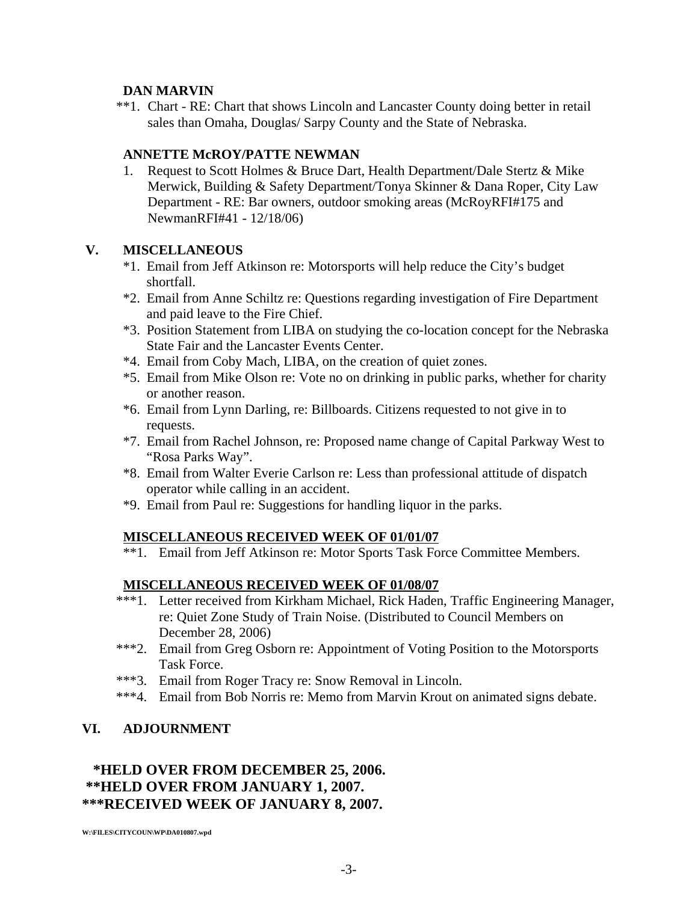### **DAN MARVIN**

\*\*1. Chart - RE: Chart that shows Lincoln and Lancaster County doing better in retail sales than Omaha, Douglas/ Sarpy County and the State of Nebraska.

### **ANNETTE McROY/PATTE NEWMAN**

1. Request to Scott Holmes & Bruce Dart, Health Department/Dale Stertz & Mike Merwick, Building & Safety Department/Tonya Skinner & Dana Roper, City Law Department - RE: Bar owners, outdoor smoking areas (McRoyRFI#175 and NewmanRFI#41 - 12/18/06)

### **V. MISCELLANEOUS**

- \*1. Email from Jeff Atkinson re: Motorsports will help reduce the City's budget shortfall.
- \*2. Email from Anne Schiltz re: Questions regarding investigation of Fire Department and paid leave to the Fire Chief.
- \*3. Position Statement from LIBA on studying the co-location concept for the Nebraska State Fair and the Lancaster Events Center.
- \*4. Email from Coby Mach, LIBA, on the creation of quiet zones.
- \*5. Email from Mike Olson re: Vote no on drinking in public parks, whether for charity or another reason.
- \*6. Email from Lynn Darling, re: Billboards. Citizens requested to not give in to requests.
- \*7. Email from Rachel Johnson, re: Proposed name change of Capital Parkway West to "Rosa Parks Way".
- \*8. Email from Walter Everie Carlson re: Less than professional attitude of dispatch operator while calling in an accident.
- \*9. Email from Paul re: Suggestions for handling liquor in the parks.

# **MISCELLANEOUS RECEIVED WEEK OF 01/01/07**

\*\*1. Email from Jeff Atkinson re: Motor Sports Task Force Committee Members.

# **MISCELLANEOUS RECEIVED WEEK OF 01/08/07**

- \*\*\*1. Letter received from Kirkham Michael, Rick Haden, Traffic Engineering Manager, re: Quiet Zone Study of Train Noise. (Distributed to Council Members on December 28, 2006)
- \*\*\*2. Email from Greg Osborn re: Appointment of Voting Position to the Motorsports Task Force.
- \*\*\*3. Email from Roger Tracy re: Snow Removal in Lincoln.
- \*\*\*4. Email from Bob Norris re: Memo from Marvin Krout on animated signs debate.

# **VI. ADJOURNMENT**

# **\*HELD OVER FROM DECEMBER 25, 2006. \*\*HELD OVER FROM JANUARY 1, 2007. \*\*\*RECEIVED WEEK OF JANUARY 8, 2007.**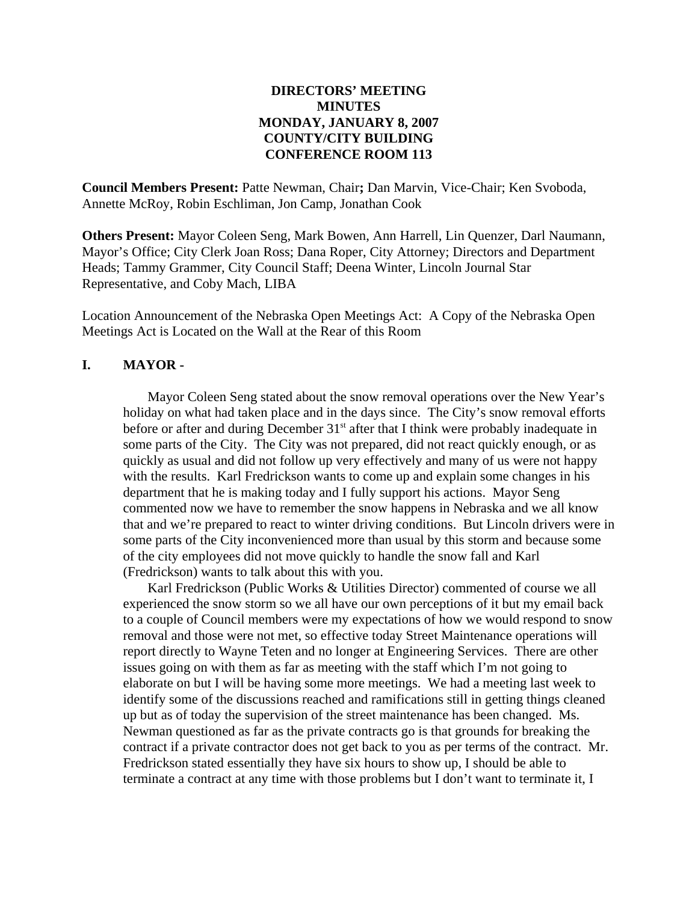### **DIRECTORS' MEETING MINUTES MONDAY, JANUARY 8, 2007 COUNTY/CITY BUILDING CONFERENCE ROOM 113**

**Council Members Present:** Patte Newman, Chair**;** Dan Marvin, Vice-Chair; Ken Svoboda, Annette McRoy, Robin Eschliman, Jon Camp, Jonathan Cook

**Others Present:** Mayor Coleen Seng, Mark Bowen, Ann Harrell, Lin Quenzer, Darl Naumann, Mayor's Office; City Clerk Joan Ross; Dana Roper, City Attorney; Directors and Department Heads; Tammy Grammer, City Council Staff; Deena Winter, Lincoln Journal Star Representative, and Coby Mach, LIBA

Location Announcement of the Nebraska Open Meetings Act: A Copy of the Nebraska Open Meetings Act is Located on the Wall at the Rear of this Room

#### **I. MAYOR -**

Mayor Coleen Seng stated about the snow removal operations over the New Year's holiday on what had taken place and in the days since. The City's snow removal efforts before or after and during December  $31<sup>st</sup>$  after that I think were probably inadequate in some parts of the City. The City was not prepared, did not react quickly enough, or as quickly as usual and did not follow up very effectively and many of us were not happy with the results. Karl Fredrickson wants to come up and explain some changes in his department that he is making today and I fully support his actions. Mayor Seng commented now we have to remember the snow happens in Nebraska and we all know that and we're prepared to react to winter driving conditions. But Lincoln drivers were in some parts of the City inconvenienced more than usual by this storm and because some of the city employees did not move quickly to handle the snow fall and Karl (Fredrickson) wants to talk about this with you.

Karl Fredrickson (Public Works & Utilities Director) commented of course we all experienced the snow storm so we all have our own perceptions of it but my email back to a couple of Council members were my expectations of how we would respond to snow removal and those were not met, so effective today Street Maintenance operations will report directly to Wayne Teten and no longer at Engineering Services. There are other issues going on with them as far as meeting with the staff which I'm not going to elaborate on but I will be having some more meetings. We had a meeting last week to identify some of the discussions reached and ramifications still in getting things cleaned up but as of today the supervision of the street maintenance has been changed. Ms. Newman questioned as far as the private contracts go is that grounds for breaking the contract if a private contractor does not get back to you as per terms of the contract. Mr. Fredrickson stated essentially they have six hours to show up, I should be able to terminate a contract at any time with those problems but I don't want to terminate it, I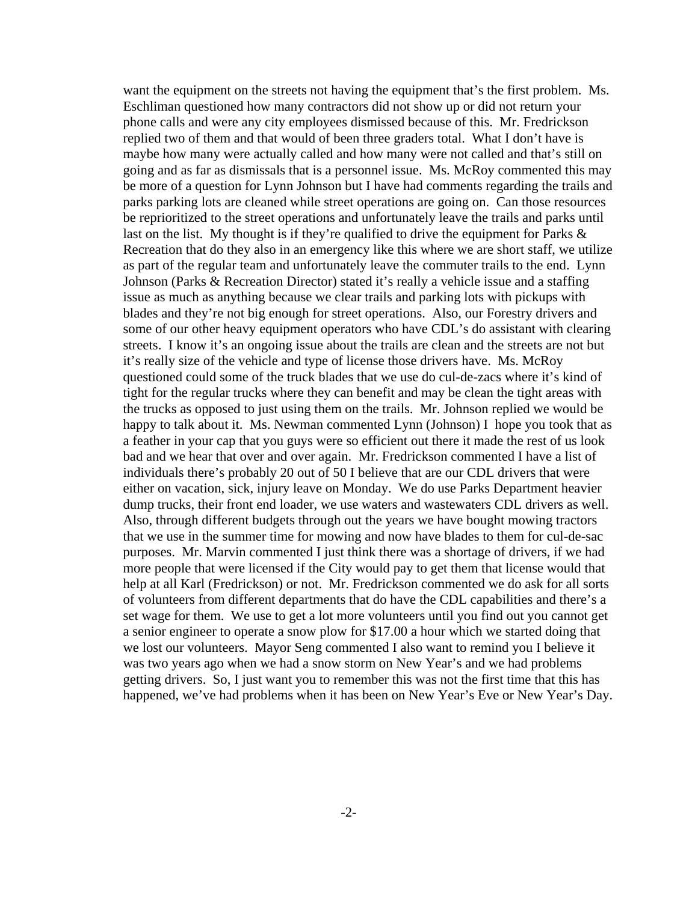want the equipment on the streets not having the equipment that's the first problem. Ms. Eschliman questioned how many contractors did not show up or did not return your phone calls and were any city employees dismissed because of this. Mr. Fredrickson replied two of them and that would of been three graders total. What I don't have is maybe how many were actually called and how many were not called and that's still on going and as far as dismissals that is a personnel issue. Ms. McRoy commented this may be more of a question for Lynn Johnson but I have had comments regarding the trails and parks parking lots are cleaned while street operations are going on. Can those resources be reprioritized to the street operations and unfortunately leave the trails and parks until last on the list. My thought is if they're qualified to drive the equipment for Parks & Recreation that do they also in an emergency like this where we are short staff, we utilize as part of the regular team and unfortunately leave the commuter trails to the end. Lynn Johnson (Parks & Recreation Director) stated it's really a vehicle issue and a staffing issue as much as anything because we clear trails and parking lots with pickups with blades and they're not big enough for street operations. Also, our Forestry drivers and some of our other heavy equipment operators who have CDL's do assistant with clearing streets. I know it's an ongoing issue about the trails are clean and the streets are not but it's really size of the vehicle and type of license those drivers have. Ms. McRoy questioned could some of the truck blades that we use do cul-de-zacs where it's kind of tight for the regular trucks where they can benefit and may be clean the tight areas with the trucks as opposed to just using them on the trails. Mr. Johnson replied we would be happy to talk about it. Ms. Newman commented Lynn (Johnson) I hope you took that as a feather in your cap that you guys were so efficient out there it made the rest of us look bad and we hear that over and over again. Mr. Fredrickson commented I have a list of individuals there's probably 20 out of 50 I believe that are our CDL drivers that were either on vacation, sick, injury leave on Monday. We do use Parks Department heavier dump trucks, their front end loader, we use waters and wastewaters CDL drivers as well. Also, through different budgets through out the years we have bought mowing tractors that we use in the summer time for mowing and now have blades to them for cul-de-sac purposes. Mr. Marvin commented I just think there was a shortage of drivers, if we had more people that were licensed if the City would pay to get them that license would that help at all Karl (Fredrickson) or not. Mr. Fredrickson commented we do ask for all sorts of volunteers from different departments that do have the CDL capabilities and there's a set wage for them. We use to get a lot more volunteers until you find out you cannot get a senior engineer to operate a snow plow for \$17.00 a hour which we started doing that we lost our volunteers. Mayor Seng commented I also want to remind you I believe it was two years ago when we had a snow storm on New Year's and we had problems getting drivers. So, I just want you to remember this was not the first time that this has happened, we've had problems when it has been on New Year's Eve or New Year's Day.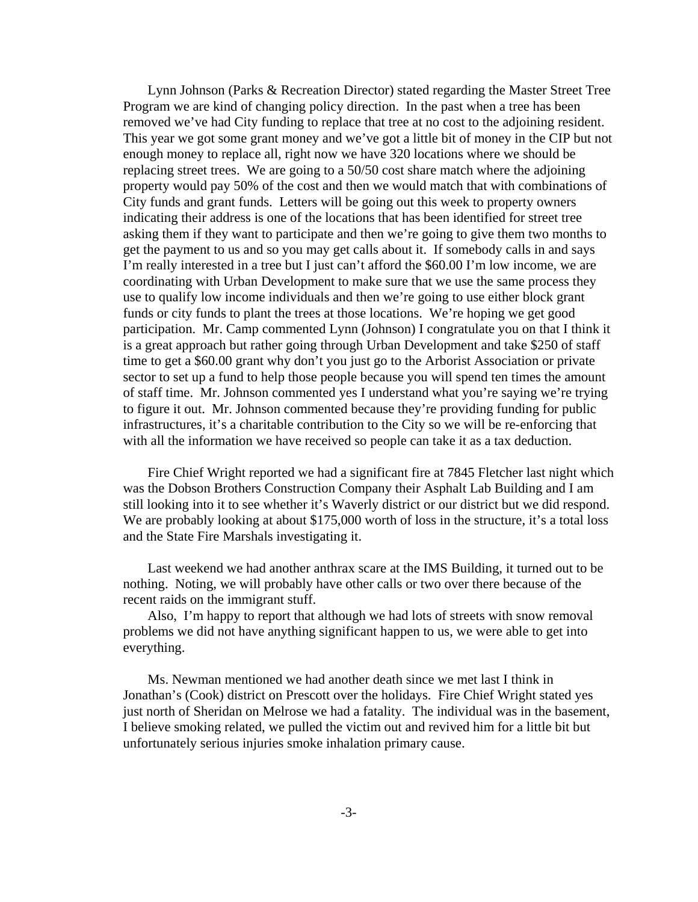Lynn Johnson (Parks & Recreation Director) stated regarding the Master Street Tree Program we are kind of changing policy direction. In the past when a tree has been removed we've had City funding to replace that tree at no cost to the adjoining resident. This year we got some grant money and we've got a little bit of money in the CIP but not enough money to replace all, right now we have 320 locations where we should be replacing street trees. We are going to a 50/50 cost share match where the adjoining property would pay 50% of the cost and then we would match that with combinations of City funds and grant funds. Letters will be going out this week to property owners indicating their address is one of the locations that has been identified for street tree asking them if they want to participate and then we're going to give them two months to get the payment to us and so you may get calls about it. If somebody calls in and says I'm really interested in a tree but I just can't afford the \$60.00 I'm low income, we are coordinating with Urban Development to make sure that we use the same process they use to qualify low income individuals and then we're going to use either block grant funds or city funds to plant the trees at those locations. We're hoping we get good participation. Mr. Camp commented Lynn (Johnson) I congratulate you on that I think it is a great approach but rather going through Urban Development and take \$250 of staff time to get a \$60.00 grant why don't you just go to the Arborist Association or private sector to set up a fund to help those people because you will spend ten times the amount of staff time. Mr. Johnson commented yes I understand what you're saying we're trying to figure it out. Mr. Johnson commented because they're providing funding for public infrastructures, it's a charitable contribution to the City so we will be re-enforcing that with all the information we have received so people can take it as a tax deduction.

Fire Chief Wright reported we had a significant fire at 7845 Fletcher last night which was the Dobson Brothers Construction Company their Asphalt Lab Building and I am still looking into it to see whether it's Waverly district or our district but we did respond. We are probably looking at about \$175,000 worth of loss in the structure, it's a total loss and the State Fire Marshals investigating it.

Last weekend we had another anthrax scare at the IMS Building, it turned out to be nothing. Noting, we will probably have other calls or two over there because of the recent raids on the immigrant stuff.

Also, I'm happy to report that although we had lots of streets with snow removal problems we did not have anything significant happen to us, we were able to get into everything.

Ms. Newman mentioned we had another death since we met last I think in Jonathan's (Cook) district on Prescott over the holidays. Fire Chief Wright stated yes just north of Sheridan on Melrose we had a fatality. The individual was in the basement, I believe smoking related, we pulled the victim out and revived him for a little bit but unfortunately serious injuries smoke inhalation primary cause.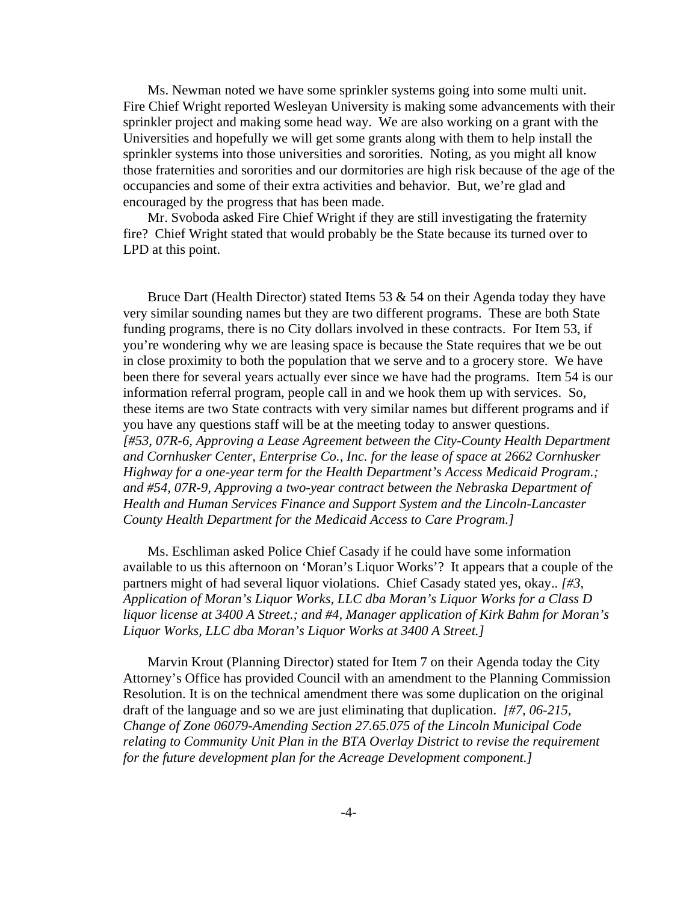Ms. Newman noted we have some sprinkler systems going into some multi unit. Fire Chief Wright reported Wesleyan University is making some advancements with their sprinkler project and making some head way. We are also working on a grant with the Universities and hopefully we will get some grants along with them to help install the sprinkler systems into those universities and sororities. Noting, as you might all know those fraternities and sororities and our dormitories are high risk because of the age of the occupancies and some of their extra activities and behavior. But, we're glad and encouraged by the progress that has been made.

Mr. Svoboda asked Fire Chief Wright if they are still investigating the fraternity fire? Chief Wright stated that would probably be the State because its turned over to LPD at this point.

Bruce Dart (Health Director) stated Items 53  $\&$  54 on their Agenda today they have very similar sounding names but they are two different programs. These are both State funding programs, there is no City dollars involved in these contracts. For Item 53, if you're wondering why we are leasing space is because the State requires that we be out in close proximity to both the population that we serve and to a grocery store. We have been there for several years actually ever since we have had the programs. Item 54 is our information referral program, people call in and we hook them up with services. So, these items are two State contracts with very similar names but different programs and if you have any questions staff will be at the meeting today to answer questions. *[#53, 07R-6, Approving a Lease Agreement between the City-County Health Department and Cornhusker Center, Enterprise Co., Inc. for the lease of space at 2662 Cornhusker Highway for a one-year term for the Health Department's Access Medicaid Program.; and #54, 07R-9, Approving a two-year contract between the Nebraska Department of Health and Human Services Finance and Support System and the Lincoln-Lancaster County Health Department for the Medicaid Access to Care Program.]*

Ms. Eschliman asked Police Chief Casady if he could have some information available to us this afternoon on 'Moran's Liquor Works'? It appears that a couple of the partners might of had several liquor violations. Chief Casady stated yes, okay.. *[#3, Application of Moran's Liquor Works, LLC dba Moran's Liquor Works for a Class D liquor license at 3400 A Street.; and #4, Manager application of Kirk Bahm for Moran's Liquor Works, LLC dba Moran's Liquor Works at 3400 A Street.]* 

Marvin Krout (Planning Director) stated for Item 7 on their Agenda today the City Attorney's Office has provided Council with an amendment to the Planning Commission Resolution. It is on the technical amendment there was some duplication on the original draft of the language and so we are just eliminating that duplication. *[#7, 06-215, Change of Zone 06079-Amending Section 27.65.075 of the Lincoln Municipal Code relating to Community Unit Plan in the BTA Overlay District to revise the requirement for the future development plan for the Acreage Development component.]*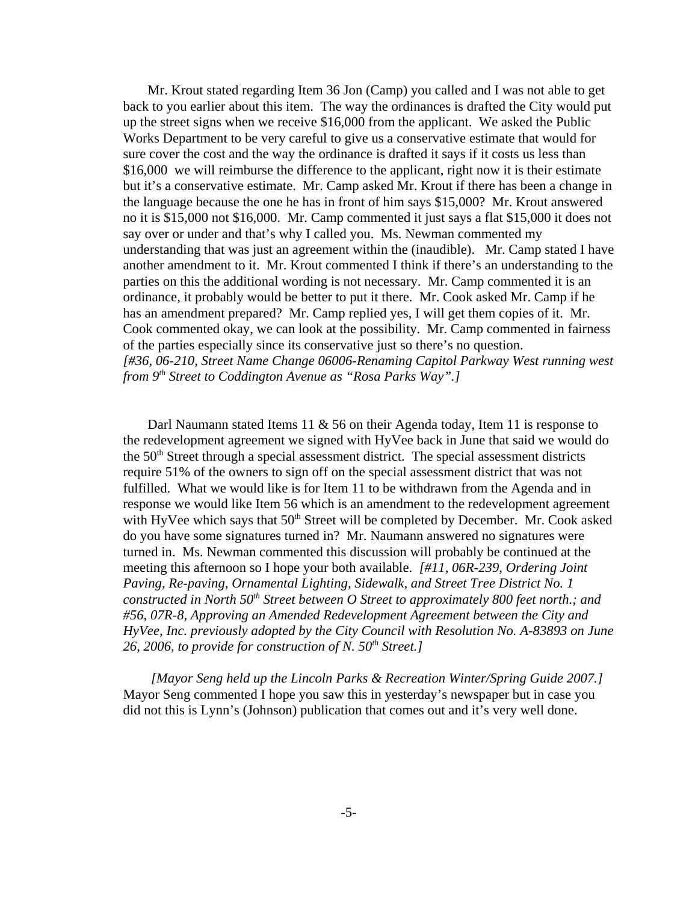Mr. Krout stated regarding Item 36 Jon (Camp) you called and I was not able to get back to you earlier about this item. The way the ordinances is drafted the City would put up the street signs when we receive \$16,000 from the applicant. We asked the Public Works Department to be very careful to give us a conservative estimate that would for sure cover the cost and the way the ordinance is drafted it says if it costs us less than \$16,000 we will reimburse the difference to the applicant, right now it is their estimate but it's a conservative estimate. Mr. Camp asked Mr. Krout if there has been a change in the language because the one he has in front of him says \$15,000? Mr. Krout answered no it is \$15,000 not \$16,000. Mr. Camp commented it just says a flat \$15,000 it does not say over or under and that's why I called you. Ms. Newman commented my understanding that was just an agreement within the (inaudible). Mr. Camp stated I have another amendment to it. Mr. Krout commented I think if there's an understanding to the parties on this the additional wording is not necessary. Mr. Camp commented it is an ordinance, it probably would be better to put it there. Mr. Cook asked Mr. Camp if he has an amendment prepared? Mr. Camp replied yes, I will get them copies of it. Mr. Cook commented okay, we can look at the possibility. Mr. Camp commented in fairness of the parties especially since its conservative just so there's no question. *[#36, 06-210, Street Name Change 06006-Renaming Capitol Parkway West running west from 9th Street to Coddington Avenue as "Rosa Parks Way".]* 

Darl Naumann stated Items 11 & 56 on their Agenda today, Item 11 is response to the redevelopment agreement we signed with HyVee back in June that said we would do the  $50<sup>th</sup>$  Street through a special assessment district. The special assessment districts require 51% of the owners to sign off on the special assessment district that was not fulfilled. What we would like is for Item 11 to be withdrawn from the Agenda and in response we would like Item 56 which is an amendment to the redevelopment agreement with HyVee which says that  $50<sup>th</sup>$  Street will be completed by December. Mr. Cook asked do you have some signatures turned in? Mr. Naumann answered no signatures were turned in. Ms. Newman commented this discussion will probably be continued at the meeting this afternoon so I hope your both available. *[#11, 06R-239, Ordering Joint Paving, Re-paving, Ornamental Lighting, Sidewalk, and Street Tree District No. 1 constructed in North 50<sup>th</sup> Street between O Street to approximately 800 feet north.; and #56, 07R-8, Approving an Amended Redevelopment Agreement between the City and HyVee, Inc. previously adopted by the City Council with Resolution No. A-83893 on June 26, 2006, to provide for construction of N. 50th Street.]* 

 *[Mayor Seng held up the Lincoln Parks & Recreation Winter/Spring Guide 2007.]* Mayor Seng commented I hope you saw this in yesterday's newspaper but in case you did not this is Lynn's (Johnson) publication that comes out and it's very well done.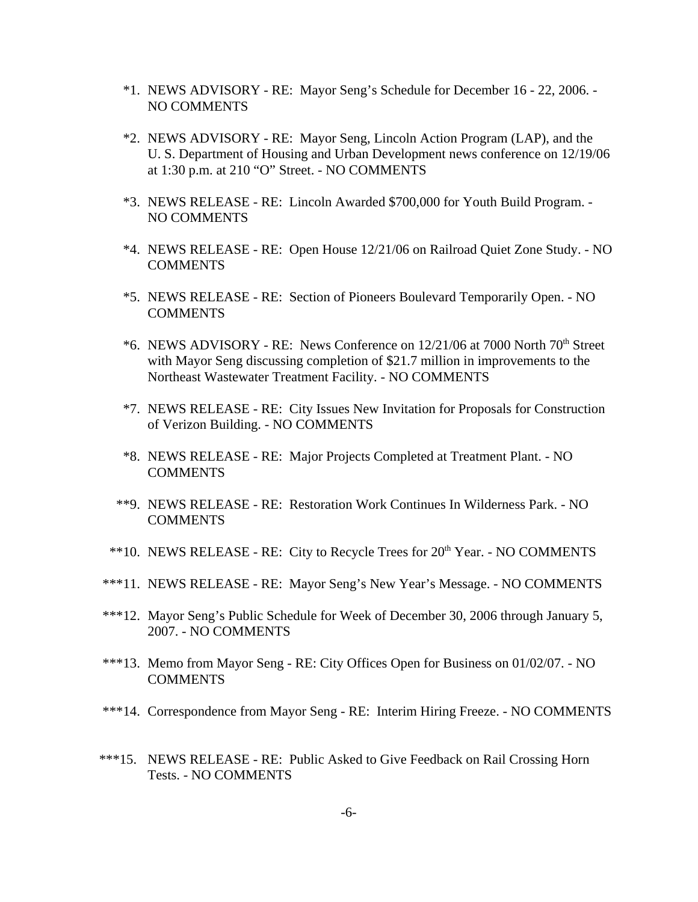- \*1. NEWS ADVISORY RE: Mayor Seng's Schedule for December 16 22, 2006. NO COMMENTS
- \*2. NEWS ADVISORY RE: Mayor Seng, Lincoln Action Program (LAP), and the U. S. Department of Housing and Urban Development news conference on 12/19/06 at 1:30 p.m. at 210 "O" Street. - NO COMMENTS
- \*3. NEWS RELEASE RE: Lincoln Awarded \$700,000 for Youth Build Program. NO COMMENTS
- \*4. NEWS RELEASE RE: Open House 12/21/06 on Railroad Quiet Zone Study. NO COMMENTS
- \*5. NEWS RELEASE RE: Section of Pioneers Boulevard Temporarily Open. NO COMMENTS
- $*6.$  NEWS ADVISORY RE: News Conference on 12/21/06 at 7000 North 70<sup>th</sup> Street with Mayor Seng discussing completion of \$21.7 million in improvements to the Northeast Wastewater Treatment Facility. - NO COMMENTS
- \*7. NEWS RELEASE RE: City Issues New Invitation for Proposals for Construction of Verizon Building. - NO COMMENTS
- \*8. NEWS RELEASE RE: Major Projects Completed at Treatment Plant. NO COMMENTS
- \*\*9. NEWS RELEASE RE: Restoration Work Continues In Wilderness Park. NO COMMENTS
- \*\*10. NEWS RELEASE RE: City to Recycle Trees for 20<sup>th</sup> Year. NO COMMENTS
- \*\*\*11. NEWS RELEASE RE: Mayor Seng's New Year's Message. NO COMMENTS
- \*\*\*12. Mayor Seng's Public Schedule for Week of December 30, 2006 through January 5, 2007. - NO COMMENTS
- \*\*\*13. Memo from Mayor Seng RE: City Offices Open for Business on 01/02/07. NO COMMENTS
- \*\*\*14. Correspondence from Mayor Seng RE: Interim Hiring Freeze. NO COMMENTS
- \*\*\*15. NEWS RELEASE RE: Public Asked to Give Feedback on Rail Crossing Horn Tests. - NO COMMENTS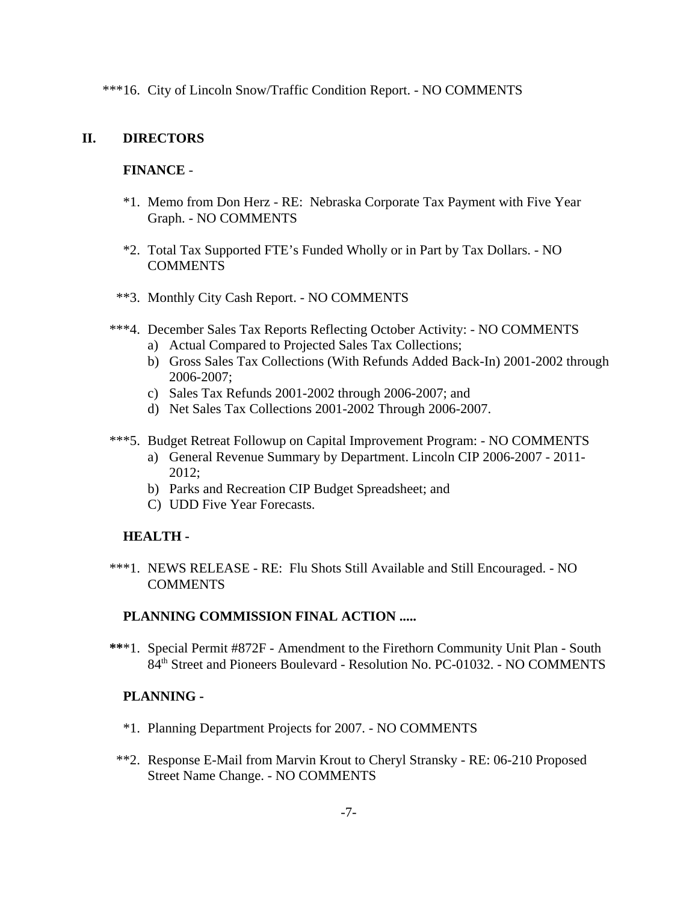\*\*\*16. City of Lincoln Snow/Traffic Condition Report. - NO COMMENTS

### **II. DIRECTORS**

### **FINANCE** -

- \*1. Memo from Don Herz RE: Nebraska Corporate Tax Payment with Five Year Graph. - NO COMMENTS
- \*2. Total Tax Supported FTE's Funded Wholly or in Part by Tax Dollars. NO **COMMENTS**
- \*\*3. Monthly City Cash Report. NO COMMENTS
- \*\*\*4. December Sales Tax Reports Reflecting October Activity: NO COMMENTS
	- a) Actual Compared to Projected Sales Tax Collections;
	- b) Gross Sales Tax Collections (With Refunds Added Back-In) 2001-2002 through 2006-2007;
	- c) Sales Tax Refunds 2001-2002 through 2006-2007; and
	- d) Net Sales Tax Collections 2001-2002 Through 2006-2007.
- \*\*\*5. Budget Retreat Followup on Capital Improvement Program: NO COMMENTS
	- a) General Revenue Summary by Department. Lincoln CIP 2006-2007 2011- 2012;
	- b) Parks and Recreation CIP Budget Spreadsheet; and
	- C) UDD Five Year Forecasts.

### **HEALTH -**

 \*\*\*1. NEWS RELEASE - RE: Flu Shots Still Available and Still Encouraged. - NO **COMMENTS** 

### **PLANNING COMMISSION FINAL ACTION .....**

 **\*\***\*1. Special Permit #872F - Amendment to the Firethorn Community Unit Plan - South 84th Street and Pioneers Boulevard - Resolution No. PC-01032. - NO COMMENTS

### **PLANNING -**

- \*1. Planning Department Projects for 2007. NO COMMENTS
- \*\*2. Response E-Mail from Marvin Krout to Cheryl Stransky RE: 06-210 Proposed Street Name Change. - NO COMMENTS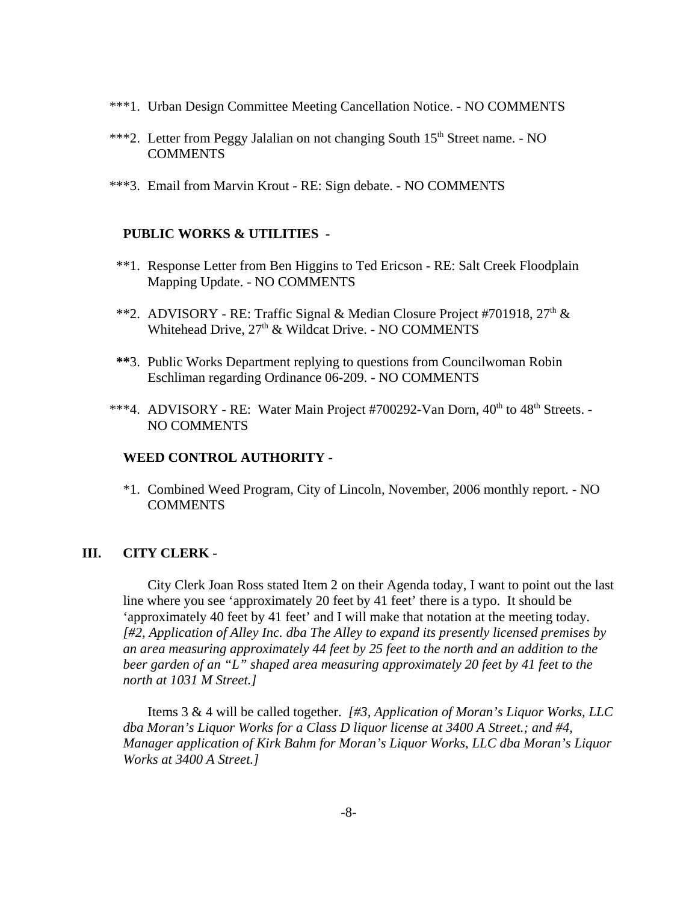- \*\*\*1. Urban Design Committee Meeting Cancellation Notice. NO COMMENTS
- \*\*\*2. Letter from Peggy Jalalian on not changing South 15<sup>th</sup> Street name. NO COMMENTS
- \*\*\*3. Email from Marvin Krout RE: Sign debate. NO COMMENTS

#### **PUBLIC WORKS & UTILITIES -**

- \*\*1. Response Letter from Ben Higgins to Ted Ericson RE: Salt Creek Floodplain Mapping Update. - NO COMMENTS
- \*\*2. ADVISORY RE: Traffic Signal & Median Closure Project #701918,  $27<sup>th</sup>$  & Whitehead Drive,  $27<sup>th</sup>$  & Wildcat Drive. - NO COMMENTS
- **\*\***3. Public Works Department replying to questions from Councilwoman Robin Eschliman regarding Ordinance 06-209. - NO COMMENTS
- \*\*\*4. ADVISORY RE: Water Main Project #700292-Van Dorn,  $40^{th}$  to  $48^{th}$  Streets. -NO COMMENTS

#### **WEED CONTROL AUTHORITY** -

\*1. Combined Weed Program, City of Lincoln, November, 2006 monthly report. - NO **COMMENTS** 

### **III. CITY CLERK -**

City Clerk Joan Ross stated Item 2 on their Agenda today, I want to point out the last line where you see 'approximately 20 feet by 41 feet' there is a typo. It should be 'approximately 40 feet by 41 feet' and I will make that notation at the meeting today. *[#2, Application of Alley Inc. dba The Alley to expand its presently licensed premises by an area measuring approximately 44 feet by 25 feet to the north and an addition to the beer garden of an "L" shaped area measuring approximately 20 feet by 41 feet to the north at 1031 M Street.]* 

Items 3 & 4 will be called together. *[#3, Application of Moran's Liquor Works, LLC dba Moran's Liquor Works for a Class D liquor license at 3400 A Street.; and #4, Manager application of Kirk Bahm for Moran's Liquor Works, LLC dba Moran's Liquor Works at 3400 A Street.]*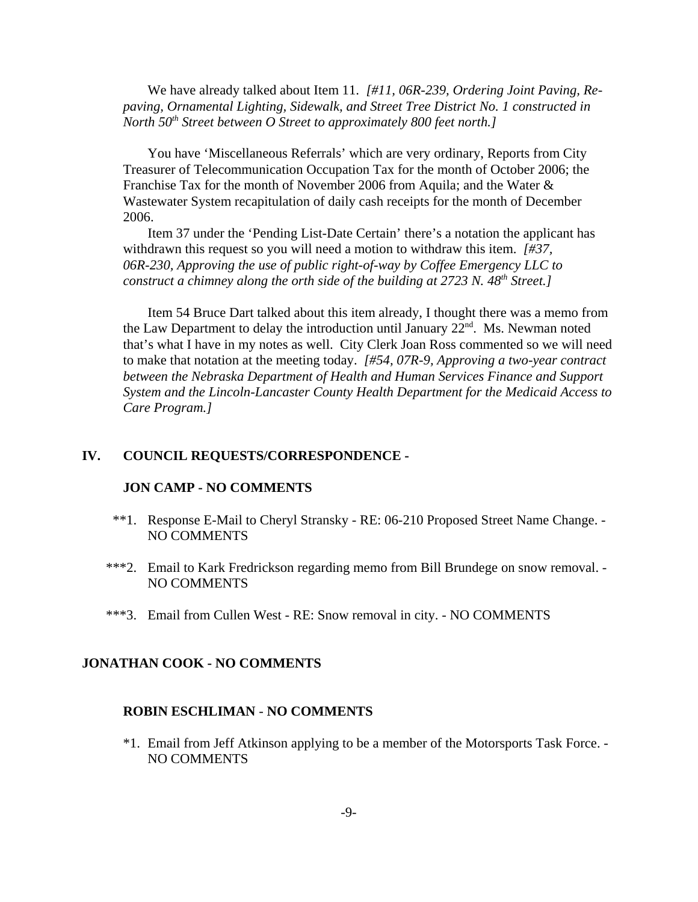We have already talked about Item 11. *[#11, 06R-239, Ordering Joint Paving, Repaving, Ornamental Lighting, Sidewalk, and Street Tree District No. 1 constructed in North 50<sup>th</sup> Street between O Street to approximately 800 feet north.]* 

You have 'Miscellaneous Referrals' which are very ordinary, Reports from City Treasurer of Telecommunication Occupation Tax for the month of October 2006; the Franchise Tax for the month of November 2006 from Aquila; and the Water & Wastewater System recapitulation of daily cash receipts for the month of December 2006.

Item 37 under the 'Pending List-Date Certain' there's a notation the applicant has withdrawn this request so you will need a motion to withdraw this item. *[#37, 06R-230, Approving the use of public right-of-way by Coffee Emergency LLC to construct a chimney along the orth side of the building at 2723 N. 48<sup>th</sup> Street.]* 

Item 54 Bruce Dart talked about this item already, I thought there was a memo from the Law Department to delay the introduction until January  $22^{nd}$ . Ms. Newman noted that's what I have in my notes as well. City Clerk Joan Ross commented so we will need to make that notation at the meeting today. *[#54, 07R-9, Approving a two-year contract between the Nebraska Department of Health and Human Services Finance and Support System and the Lincoln-Lancaster County Health Department for the Medicaid Access to Care Program.]* 

#### **IV. COUNCIL REQUESTS/CORRESPONDENCE -**

#### **JON CAMP - NO COMMENTS**

- \*\*1. Response E-Mail to Cheryl Stransky RE: 06-210 Proposed Street Name Change. NO COMMENTS
- \*\*\*2. Email to Kark Fredrickson regarding memo from Bill Brundege on snow removal. NO COMMENTS
- \*\*\*3. Email from Cullen West RE: Snow removal in city. NO COMMENTS

#### **JONATHAN COOK - NO COMMENTS**

#### **ROBIN ESCHLIMAN** - **NO COMMENTS**

\*1. Email from Jeff Atkinson applying to be a member of the Motorsports Task Force. - NO COMMENTS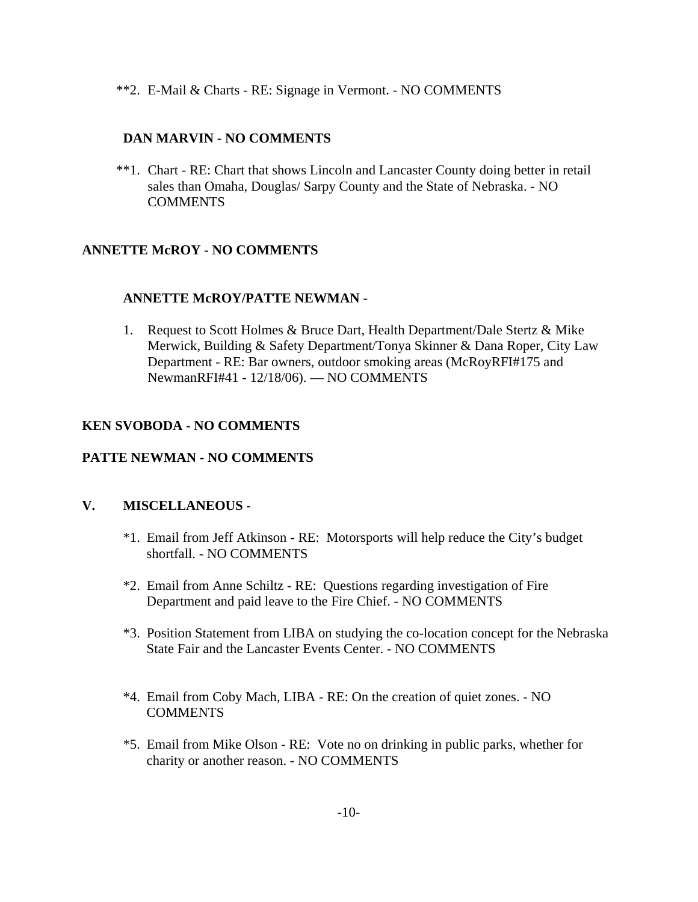\*\*2. E-Mail & Charts - RE: Signage in Vermont. - NO COMMENTS

### **DAN MARVIN - NO COMMENTS**

\*\*1. Chart - RE: Chart that shows Lincoln and Lancaster County doing better in retail sales than Omaha, Douglas/ Sarpy County and the State of Nebraska. - NO **COMMENTS** 

# **ANNETTE McROY - NO COMMENTS**

### **ANNETTE McROY/PATTE NEWMAN -**

1. Request to Scott Holmes & Bruce Dart, Health Department/Dale Stertz & Mike Merwick, Building & Safety Department/Tonya Skinner & Dana Roper, City Law Department - RE: Bar owners, outdoor smoking areas (McRoyRFI#175 and NewmanRFI#41 - 12/18/06). — NO COMMENTS

# **KEN SVOBODA - NO COMMENTS**

### **PATTE NEWMAN - NO COMMENTS**

### **V. MISCELLANEOUS** -

- \*1. Email from Jeff Atkinson RE: Motorsports will help reduce the City's budget shortfall. - NO COMMENTS
- \*2. Email from Anne Schiltz RE: Questions regarding investigation of Fire Department and paid leave to the Fire Chief. - NO COMMENTS
- \*3. Position Statement from LIBA on studying the co-location concept for the Nebraska State Fair and the Lancaster Events Center. - NO COMMENTS
- \*4. Email from Coby Mach, LIBA RE: On the creation of quiet zones. NO COMMENTS
- \*5. Email from Mike Olson RE: Vote no on drinking in public parks, whether for charity or another reason. - NO COMMENTS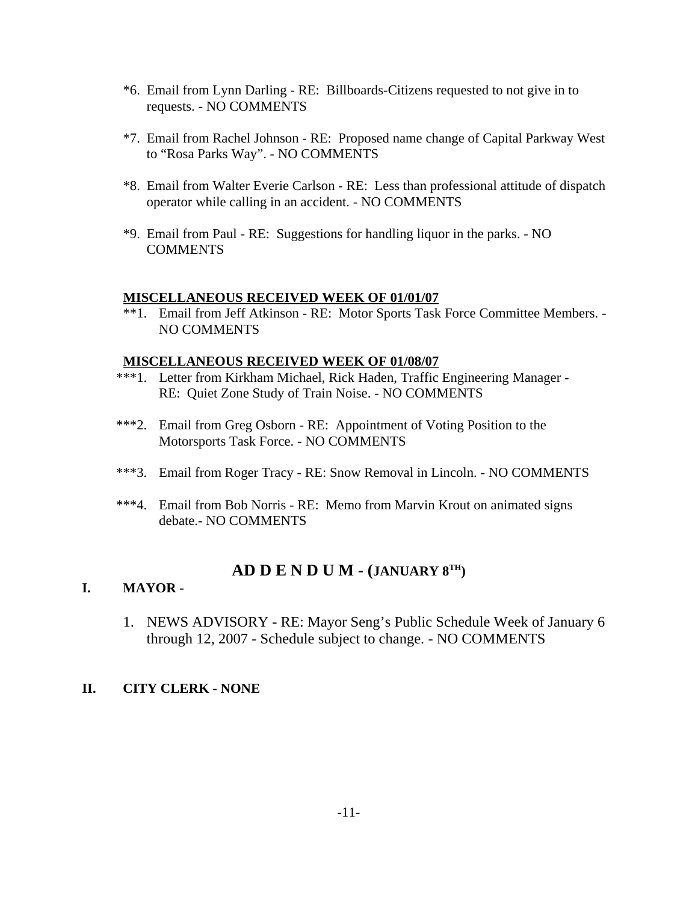- \*6. Email from Lynn Darling RE: Billboards-Citizens requested to not give in to requests. - NO COMMENTS
- \*7. Email from Rachel Johnson RE: Proposed name change of Capital Parkway West to "Rosa Parks Way". - NO COMMENTS
- \*8. Email from Walter Everie Carlson RE: Less than professional attitude of dispatch operator while calling in an accident. - NO COMMENTS
- \*9. Email from Paul RE: Suggestions for handling liquor in the parks. NO **COMMENTS**

#### **MISCELLANEOUS RECEIVED WEEK OF 01/01/07**

\*\*1. Email from Jeff Atkinson - RE: Motor Sports Task Force Committee Members. - NO COMMENTS

#### **MISCELLANEOUS RECEIVED WEEK OF 01/08/07**

- \*\*\*1. Letter from Kirkham Michael, Rick Haden, Traffic Engineering Manager RE: Quiet Zone Study of Train Noise. - NO COMMENTS
- \*\*\*2. Email from Greg Osborn RE: Appointment of Voting Position to the Motorsports Task Force. - NO COMMENTS
- \*\*\*3. Email from Roger Tracy RE: Snow Removal in Lincoln. NO COMMENTS
- \*\*\*4. Email from Bob Norris RE: Memo from Marvin Krout on animated signs debate.- NO COMMENTS

# **AD D E N D U M - (JANUARY 8TH)**

### **I. MAYOR -**

1. NEWS ADVISORY - RE: Mayor Seng's Public Schedule Week of January 6 through 12, 2007 - Schedule subject to change. - NO COMMENTS

### **II. CITY CLERK - NONE**